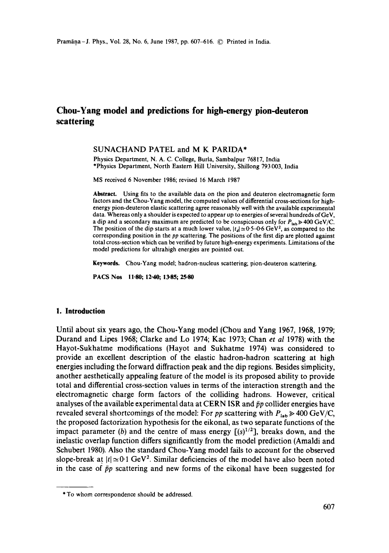# **Chou-Yang model and predictions for high-energy pion-deuteron scattering**

#### SUNACHAND PATEL and M K PARIDA\*

Physics Department, N. A. C. College, Burla, Sambalpur 76817, India \*Physics Department, North Eastern Hill University, Shillong 793 003, India

MS received 6 November 1986; revised 16 March 1987

**Abstract.** Using fits to the available data on the pion and deuteron electromagnetic form factors and the Chou-Yang model, the computed values of differential cross-sections for highenergy pion-deuteron elastic scattering agree reasonably well with the available experimental data. Whereas only a shoulder is expected to appear up to energies of several hundreds of GeV, a dip and a secondary maximum are predicted to be conspicuous only for  $P_{\text{lab}} \geq 400 \text{ GeV/C}.$ The position of the dip starts at a much lower value,  $|t_d| \approx 0.5-0.6$  GeV<sup>2</sup>, as compared to the corresponding position in the *pp* scattering. The positions of the first dip are plotted against total cross-section which can be verified by future high-energy experiments. Limitations of the model predictions for ultrahigh energies are pointed out.

**Keywords.** Chou-Yang model; hadron-nucleus scattering; pion-deuteron scattering.

PACS Nos 11.80; 12.40; 13-85; 25-80

### **I. Introduction**

Until about six years ago, the Chou-Yang model (Chou and Yang 1967, 1968, 1979; Durand and Lipes 1968; Clarke and Lo 1974; Kac 1973; Chan *et al* 1978) with the Hayot-Sukhatme modifications (Hayot and Sukhatme 1974) was considered to provide an excellent description of the elastic hadron-hadron scattering at high energies including the forward diffraction peak and the dip regions. Besides simplicity, another aesthetically appealing feature of the model is its proposed ability to provide total and differential cross-section values in terms of the interaction strength and the electromagnetic charge form factors of the colliding hadrons. However, critical analyses of the available experimental data at CERN ISR and  $\bar{p}p$  collider energies have revealed several shortcomings of the model: For *pp* scattering with  $P_{\text{lab}} \ge 400 \text{ GeV/C}$ , the proposed factorization hypothesis for the eikonal, as two separate functions of the impact parameter (b) and the centre of mass energy  $[(s)^{1/2}]$ , breaks down, and the inelastic overlap function differs significantly from the model prediction (Amaldi and Schubert 1980). Also the standard Chou-Yang model fails to account for the observed slope-break at  $|t| \simeq 0.1$  GeV<sup>2</sup>. Similar deficiencies of the model have also been noted in the case of  $\bar{p}p$  scattering and new forms of the eikonal have been suggested for

<sup>\*</sup> To whom correspondence should be addressed.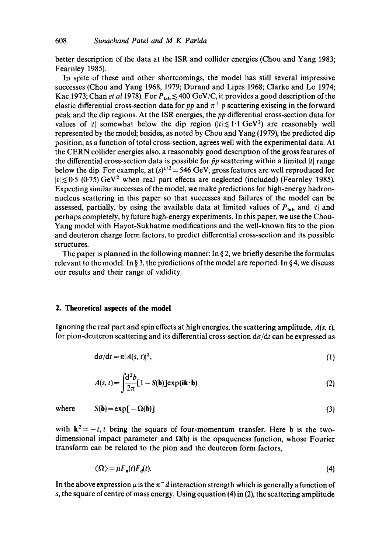better description of the data at the ISR and collider energies (Chou and Yang 1983; Fearnley 1985).

In spite of these and other shortcomings, the model has still several impressive successes (Chou and Yang 1968, 1979; Durand and Lipes 1968; Clarke and Lo 1974; Kac 1973; Chan *et al* 1978). For  $P_{\text{lab}} \leq 400 \text{ GeV/C}$ , it provides a good description of the elastic differential cross-section data for *pp* and  $\pi^{\pm}$  *p* scattering existing in the forward peak and the dip regions. At the ISR energies, the *pp* differential cross-section data for values of |t| somewhat below the dip region ( $|t| \leq 1.1$  GeV<sup>2</sup>) are reasonably well represented by the model; besides, as noted by Chou and Yang (1979), the predicted dip position, as a function of total cross-section, agrees well with the experimental data. At the CERN collider energies also, a reasonably good description of the gross features of the differential cross-section data is possible for  $\bar{p}p$  scattering within a limited |t| range below the dip. For example, at  $(s)^{1/2}$  = 546 GeV, gross features are well reproduced for  $|t| \lesssim 0.5$  (0.75) GeV<sup>2</sup> when real part effects are neglected (included) (Fearnley 1985). Expecting similar successes of the model, we make predictions for high-energy hadronnucleus scattering in this paper so that successes and failures of the model can be assessed, partially, by using the available data at limited values of  $P_{lab}$  and |t| and perhaps completely, by future high-energy experiments. In this paper, we use the Chou-Yang model with Hayot-Sukhatme modifications and the well-known fits to the pion and deuteron charge form factors, to predict differential cross-section and its possible structures.

The paper is planned in the following manner: In  $\S$  2, we briefly describe the formulas relevant to the model. In § 3, the predictions of the model are reported. In § 4, we discuss our results and their range of validity.

### **2. Theoretical aspects of the model**

Ignoring the real part and spin effects at high energies, the scattering amplitude, *A(s, t),*  for pion-deuteron scattering and its differential cross-section *da/dt* can be expressed as

$$
d\sigma/dt = \pi |A(s, t)|^2, \qquad (1)
$$

$$
A(s, t) = \int \frac{d^2 b}{2\pi} [1 - S(b)] \exp(i\mathbf{k} \cdot \mathbf{b})
$$
 (2)

where  $S(\mathbf{b}) = \exp[-\Omega(\mathbf{b})]$  (3)

with  $k^2 = -t$ , t being the square of four-momentum transfer. Here **b** is the twodimensional impact parameter and  $\Omega(b)$  is the opaqueness function, whose Fourier transform can be related to the pion and the deuteron form factors,

$$
\langle \Omega \rangle = \mu F_{\pi}(t) F_{d}(t). \tag{4}
$$

In the above expression  $\mu$  is the  $\pi^- d$  interaction strength which is generally a function of s, the square of centre of mass energy. Using equation (4) in (2), the scattering amplitude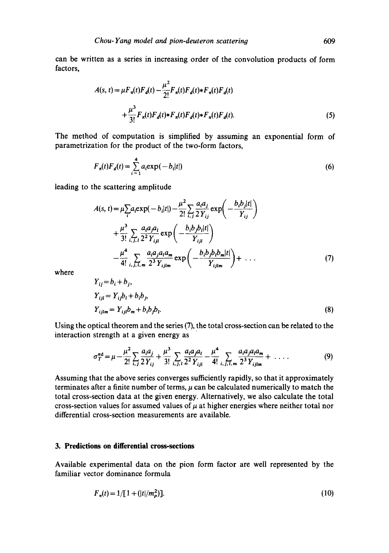can be written as a series in increasing order of the convolution products of form factors,

$$
A(s, t) = \mu F_{\pi}(t) F_d(t) - \frac{\mu^2}{2!} F_{\pi}(t) F_d(t) * F_{\pi}(t) F_d(t)
$$
  
+ 
$$
\frac{\mu^3}{3!} F_{\pi}(t) F_d(t) * F_{\pi}(t) F_d(t) * F_{\pi}(t) F_d(t).
$$
 (5)

The method of computation is simplified by assuming an exponential form of parametrization for the product of the two-form factors,

$$
F_n(t)F_d(t) = \sum_{i=1}^{4} a_i \exp(-b_i|t|)
$$
 (6)

leading to the scattering amplitude

$$
A(s, t) = \mu \sum_{i} a_{i} \exp(-b_{i}|t|) - \frac{\mu^{2}}{2!} \sum_{i,j} \frac{a_{i} a_{j}}{2 Y_{ij}} \exp\left(-\frac{b_{i} b_{j} |t|}{Y_{ij}}\right) + \frac{\mu^{3}}{3!} \sum_{i,j,l} \frac{a_{i} a_{j} a_{l}}{2^{2} Y_{ijl}} \exp\left(-\frac{b_{i} b_{j} b_{l} |t|}{Y_{ijl}}\right) - \frac{\mu^{4}}{4!} \sum_{i,j,l,m} \frac{a_{i} a_{j} a_{l} a_{m}}{2^{3} Y_{ijlm}} \exp\left(-\frac{b_{i} b_{j} b_{l} b_{m} |t|}{Y_{ijlm}}\right) + \dots
$$
(7)

where

$$
Y_{ij} = b_i + b_j,
$$
  
\n
$$
Y_{ijl} = Y_{ij}b_l + b_ib_j,
$$
  
\n
$$
Y_{ijlm} = Y_{ijl}b_m + b_ib_jb_l.
$$
\n(8)

Using the optical theorem and the series (7), the total cross-section can be related to the interaction strength at a given energy as

$$
\sigma_T^{\pi d} = \mu - \frac{\mu^2}{2!} \sum_{i,j} \frac{a_i a_j}{2 Y_{ij}} + \frac{\mu^3}{3!} \sum_{i,j,i} \frac{a_i a_j a_i}{2^2 Y_{ijl}} - \frac{\mu^4}{4!} \sum_{i,j,l,m} \frac{a_i a_j a_l a_m}{2^3 Y_{ijlm}} + \dots
$$
 (9)

Assuming that the above series converges sufficiently rapidly, so that it approximately terminates after a finite number of terms,  $\mu$  can be calculated numerically to match the total cross-section data at the given energy. Alternatively, we also calculate the total cross-section values for assumed values of  $\mu$  at higher energies where neither total nor differential cross-section measurements are available.

## **3. Predictions on differential cross.sections**

Available experimental data on the pion form factor are well represented by the familiar vector dominance formula

$$
F_{\pi}(t) = 1/[1 + (|t|/m_{\rho}^{2})]. \tag{10}
$$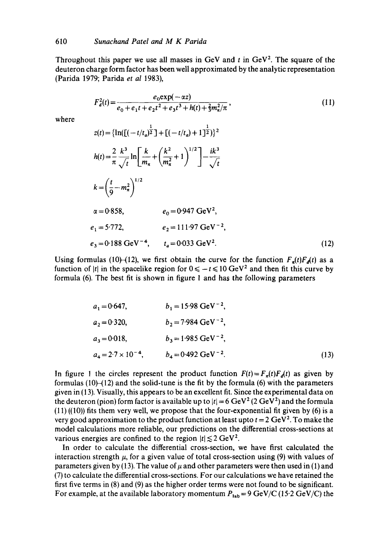where

Throughout this paper we use all masses in GeV and t in  $GeV^2$ . The square of the deuteron charge form factor has been well approximated by the analytic representation (Parida 1979; Parida *et al* 1983),

$$
F_d^2(t) = \frac{e_0 \exp(-\alpha z)}{e_0 + e_1 t + e_2 t^2 + e_3 t^3 + h(t) + \frac{2}{3} m_\pi^2 / \pi},
$$
\n
$$
z(t) = \{\ln([\left(-(t/t_a)^{\frac{1}{2}}\right] + \left[(-t/t_a) + 1\right]^{\frac{1}{2}})\}^2
$$
\n
$$
h(t) = \frac{2}{\pi} \frac{k^3}{\sqrt{t}} \ln\left[\frac{k}{m_\pi} + \left(\frac{k^2}{m_\pi^2} + 1\right)^{1/2}\right] - \frac{ik^3}{\sqrt{t}}
$$
\n
$$
k = \left(\frac{t}{9} - m_\pi^2\right)^{1/2}
$$
\n
$$
\alpha = 0.858, \qquad e_0 = 0.947 \text{ GeV}^2,
$$
\n
$$
e_1 = 5.772, \qquad e_2 = 111.97 \text{ GeV}^{-2},
$$
\n
$$
e_3 = 0.188 \text{ GeV}^{-4}, \qquad t_a = 0.033 \text{ GeV}^2.
$$
\n(12)

Using formulas (10)-(12), we first obtain the curve for the function  $F_a(t)F_d(t)$  as a function of |t| in the spacelike region for  $0 \le -t \le 10 \text{ GeV}^2$  and then fit this curve by formula (6). The best fit is shown in figure 1 and has the following parameters

| $a_1 = 0.647$ ,              | $b_1 = 15.98 \text{ GeV}^{-2}$ ,  |      |
|------------------------------|-----------------------------------|------|
| $a_2 = 0.320$ ,              | $b_2$ = 7.984 GeV <sup>-2</sup> , |      |
| $a_3 = 0.018$ ,              | $b_3 = 1.985 \text{ GeV}^{-2}$ ,  |      |
| $a_4 = 2.7 \times 10^{-4}$ , | $b_4 = 0.492 \text{ GeV}^{-2}$ .  | (13) |

In figure 1 the circles represent the product function  $F(t) = F<sub>\pi</sub>(t)F<sub>\phi</sub>(t)$  as given by formulas  $(10)$ - $(12)$  and the solid-tune is the fit by the formula  $(6)$  with the parameters given in (13). Visually, this appears to be an excellent fit. Since the experimental data on the deuteron (pion) form factor is available up to  $|t| = 6 \text{ GeV}^2 (2 \text{ GeV}^2)$  and the formula  $(11)$  ((10)) fits them very well, we propose that the four-exponential fit given by (6) is a very good approximation to the product function at least upto  $t = 2 \text{ GeV}^2$ . To make the model calculations more reliable, our predictions on the differential cross-sections at various energies are confined to the region  $|t| \lesssim 2 \text{ GeV}^2$ .

In order to calculate the differential cross-section, we have first calculated the interaction strength  $\mu$ , for a given value of total cross-section using (9) with values of parameters given by (13). The value of  $\mu$  and other parameters were then used in (1) and (7) to calculate the differential cross-sections. For our calculations we have retained the first five terms in (8) and (9) as the higher order terms were not found to be significant. For example, at the available laboratory momentum  $P_{lab} = 9 \text{ GeV/C} (15.2 \text{ GeV/C})$  the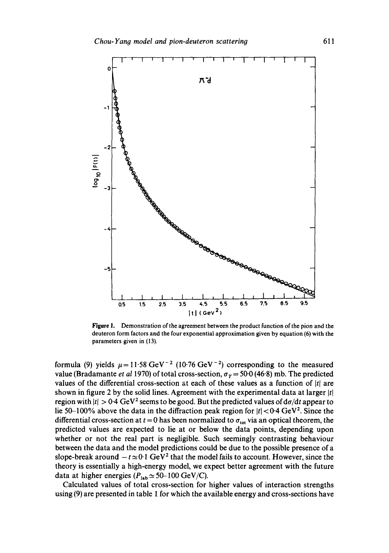

Figure I. Demonstration of the agreement between the product function of the pion and the deuteron form factors and the four exponential approximation given by equation (6) with the parameters given in (13).

formula (9) yields  $\mu = 11.58 \text{ GeV}^{-2}$  (10.76 GeV<sup>-2</sup>) corresponding to the measured value (Bradamante *et al* 1970) of total cross-section,  $\sigma_T = 50.0$  (46.8) mb. The predicted values of the differential cross-section at each of these values as a function of *Itl* are shown in figure 2 by the solid lines. Agreement with the experimental data at larger  $|t|$ region with  $|t| > 0.4$  GeV<sup>2</sup> seems to be good. But the predicted values of  $d\sigma/dt$  appear to lie 50-100% above the data in the diffraction peak region for  $|t| < 0.4$  GeV<sup>2</sup>. Since the differential cross-section at  $t = 0$  has been normalized to  $\sigma_{tot}$  via an optical theorem, the predicted values are expected to lie at or below the data points, depending upon whether or not the real part is negligible. Such seemingly contrasting behaviour between the data and the model predictions could be due to the possible presence of a slope-break around  $-t \approx 0.1$  GeV<sup>2</sup> that the model fails to account. However, since the theory is essentially a high-energy model, we expect better agreement with the future data at higher energies ( $P_{\text{lab}} \simeq 50{\text -}100 \text{ GeV/C}$ ).

Calculated values of total cross-section for higher values of interaction strengths using (9) are presented in table 1 for which the available energy and cross-sections have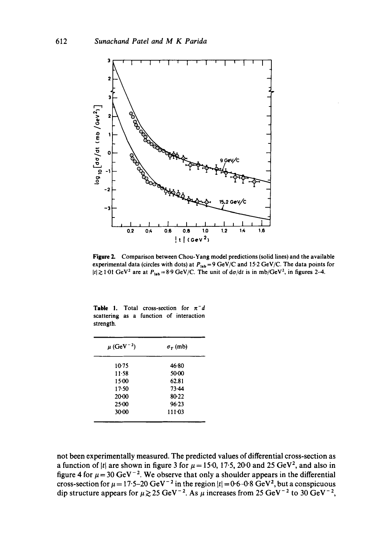

**Figure** 2. Comparison between Chou-Yang model predictions (solid lines) and the available experimental data (circles with dots) at  $P_{\mu b}$ =9 GeV/C and 15.2 GeV/C. The data points for  $|t| \gtrsim 1.01 \text{ GeV}^2$  are at  $P_{\text{lab}} = 8.9 \text{ GeV/C}$ . The unit of  $d\sigma/dt$  is in mb/GeV<sup>2</sup>, in figures 2-4.

| <b>Table 1.</b> Total cross-section for $\pi^{-}d$ |  |  |  |
|----------------------------------------------------|--|--|--|
| scattering as a function of interaction            |  |  |  |
| strength.                                          |  |  |  |

| $\mu$ (GeV <sup>-2</sup> ) | $\sigma_{\tau}$ (mb) |
|----------------------------|----------------------|
| $10-75$                    | 46.80                |
| $11 - 58$                  | 50.00                |
| 15.00                      | 62.81                |
| 17.50                      | 73.44                |
| 20.00                      | 80-22                |
| $25-00$                    | 96.23                |
| 30.00                      | 111.03               |

not been experimentally measured. The predicted values of differential cross-section as a function of |t| are shown in figure 3 for  $\mu = 15.0$ , 17.5, 20.0 and 25 GeV<sup>2</sup>, and also in figure 4 for  $\mu$  = 30 GeV<sup>-2</sup>. We observe that only a shoulder appears in the differential cross-section for  $\mu = 17.5-20$  GeV  $^{-2}$  in the region  $|t| = 0.6-0.8$  GeV<sup>2</sup>, but a conspicuous dip structure appears for  $\mu \gtrsim 25$  GeV<sup>-2</sup>. As  $\mu$  increases from 25 GeV<sup>-2</sup> to 30 GeV<sup>-2</sup>,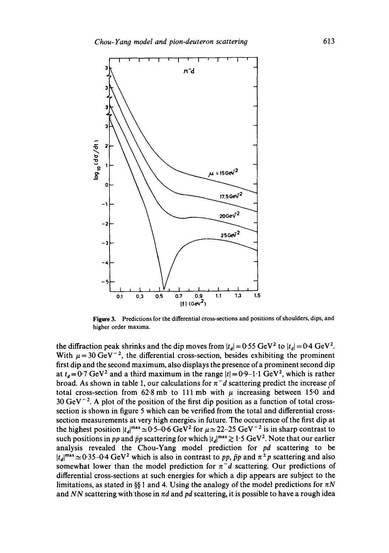

**Figure** 3. Predictions for the differential cross-sections and positions of shoulders, dips, and higher order maxima.

the diffraction peak shrinks and the dip moves from  $|t_d| = 0.55$  GeV<sup>2</sup> to  $|t_d| = 0.4$  GeV<sup>2</sup>. With  $\mu = 30 \text{ GeV}^{-2}$ , the differential cross-section, besides exhibiting the prominent first dip and the second maximum, also displays the presence of a prominent second dip at  $t<sub>d</sub> = 0.7$  GeV<sup>2</sup> and a third maximum in the range  $|t| = 0.9-1.1$  GeV<sup>2</sup>, which is rather broad. As shown in table 1, our calculations for  $\pi^-d$  scattering predict the increase of total cross-section from 62.8 mb to 111 mb with  $\mu$  increasing between 15.0 and  $30 \text{ GeV}^{-2}$ . A plot of the position of the first dip position as a function of total crosssection is shown in figure 5 which can be verified from the total and differential crosssection measurements at very high energies in future. The occurrence of the first dip at the highest position  $|t_a|^{max} \approx 0.5-0.6$  GeV<sup>2</sup> for  $\mu \approx 22-25$  GeV<sup>-2</sup> is in sharp contrast to such positions in *pp* and  $\bar{p}p$  scattering for which  $|t_d|^{max} \geq 1.5$  GeV<sup>2</sup>. Note that our earlier analysis revealed the Chou-Yang model prediction for *pd* scattering to be  $|t_d|^{max} \approx 0.35-0.4 \text{ GeV}^2$  which is also in contrast to *pp, pp* and  $\pi^{\pm}p$  scattering and also somewhat lower than the model prediction for  $\pi^-d$  scattering. Our predictions of differential cross-sections at such energies for which a dip appears are subject to the limitations, as stated in §§ 1 and 4. Using the analogy of the model predictions for  $\pi N$ and *NN* scattering with those in  $\pi d$  and  $pd$  scattering, it is possible to have a rough idea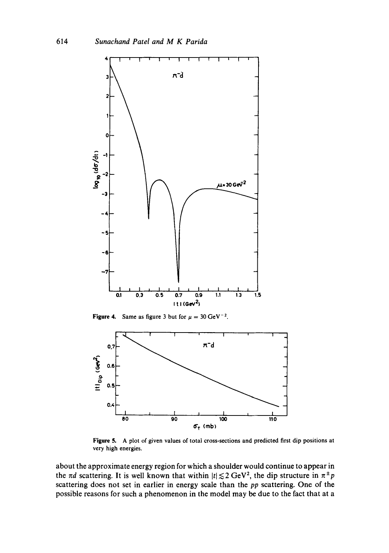

**Figure 4.** Same as figure 3 but for  $\mu = 30 \text{ GeV}^{-2}$ .



**Figure** 5. A plot of given values of total cross-sections and predicted first dip positions at very high energies.

about the approximate energy region for which a shoulder would continue to appear in the  $\pi d$  scattering. It is well known that within  $|t| \lesssim 2 \text{ GeV}^2$ , the dip structure in  $\pi^{\pm} p$ scattering does not set in earlier in energy scale than the *pp* scattering. One of the possible reasons for such a phenomenon in the model may be due to the fact that at a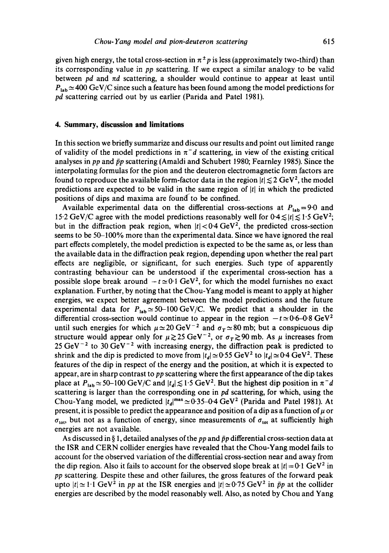given high energy, the total cross-section in  $\pi^{\pm}p$  is less (approximately two-third) than its corresponding value in *pp* scattering. If we expect a similar analogy to be valid between  $pd$  and  $\pi d$  scattering, a shoulder would continue to appear at least until  $P_{lab} \simeq 400 \text{ GeV/C}$  since such a feature has been found among the model predictions for *pd* scattering carried out by us earlier (Parida and Patel 1981).

#### **4. Summary, discussion and limitations**

In this section we briefly summarize and discuss our results and point out limited range of validity of the model predictions in  $\pi^- d$  scattering, in view of the existing critical analyses in *pp* and  $\bar{p}p$  scattering (Amaldi and Schubert 1980; Fearnley 1985). Since the interpolating formulas for the pion and the deuteron electromagnetic form factors are found to reproduce the available form-factor data in the region  $|t| \lesssim 2 \text{ GeV}^2$ , the model predictions are expected to be valid in the same region of  $|t|$  in which the predicted positions of dips and maxima are found'to be confined.

Available experimental data on the differential cross-sections at  $P_{lab}=9.0$  and 15.2 GeV/C agree with the model predictions reasonably well for  $0.4 \le |t| \le 1.5$  GeV<sup>2</sup>; but in the diffraction peak region, when  $|t| < 0.4$  GeV<sup>2</sup>, the predicted cross-section seems to be 50-100% more than the experimental data. Since we have ignored the real part effects completely, the model prediction is expected to be the same as, or less than the available data in the diffraction peak region, depending upon whether the real part effects are negligible, or significant, for such energies. Such type of apparently contrasting behaviour can be understood if the experimental cross-section has a possible slope break around  $-t \approx 0.1$  GeV<sup>2</sup>, for which the model furnishes no exact explanation. Further, by noting that the Chou-Yang model is meant to apply at higher energies, we expect better agreement between the model predictions and the future experimental data for  $P_{lab} \simeq 50-100~\text{GeV}/\text{C}$ . We predict that a shoulder in the differential cross-section would continue to appear in the region  $-t \approx 0.6-0.8$  GeV<sup>2</sup> until such energies for which  $\mu \approx 20 \text{ GeV}^{-2}$  and  $\sigma_T \approx 80 \text{ mb}$ ; but a conspicuous dip structure would appear only for  $\mu \gtrsim 25 \text{ GeV}^{-2}$ , or  $\sigma_{\tau} \gtrsim 90 \text{ mb}$ . As  $\mu$  increases from 25 GeV<sup>-2</sup> to 30 GeV<sup>-2</sup> with increasing energy, the diffraction peak is predicted to shrink and the dip is predicted to move from  $|t_d| \approx 0.55 \text{ GeV}^2$  to  $|t_d| \approx 0.4 \text{ GeV}^2$ . These features of the dip in respect of the energy and the position, at which it is expected to appear, are in sharp contrast to *pp* scattering where the first appearance of the dip takes place at  $P_{\text{lab}} \approx 50-100 \text{ GeV/C}$  and  $|t_d| \lesssim 1.5 \text{ GeV}^2$ . But the highest dip position in  $\pi^- d$ scattering is larger than the corresponding one in *pd* scattering, for which, using the Chou-Yang model, we predicted  $|t_d|^{max} \approx 0.35-0.4$  GeV<sup>2</sup> (Parida and Patel 1981). At present, it is possible to predict the appearance and position of a dip as a function of  $\mu$  or  $\sigma_{\text{tot}}$ , but not as a function of energy, since measurements of  $\sigma_{\text{tot}}$  at sufficiently high energies are not available.

As discussed in § 1, detailed analyses of the  $pp$  and  $\bar{p}p$  differential cross-section data at the ISR and CERN collider energies have revealed that the Chou-Yang model fails to account for the observed variation of the differential cross-section near and away from the dip region. Also it fails to account for the observed slope break at  $|t|=0.1$  GeV<sup>2</sup> in *pp* scattering. Despite these and other failures, the gross features of the forward peak upto  $|t| \approx 1.1$  GeV<sup>2</sup> in *pp* at the ISR energies and  $|t| \approx 0.75$  GeV<sup>2</sup> in *pp* at the collider energies are described by the model reasonably well. Also, as noted by Chou and Yang